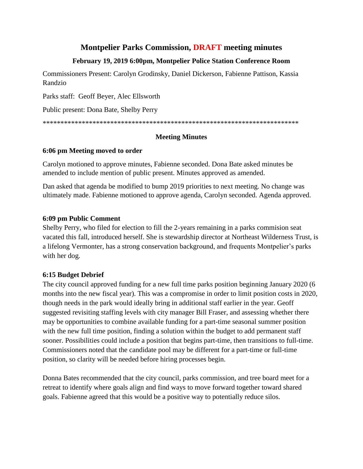# **Montpelier Parks Commission, DRAFT meeting minutes**

## **February 19, 2019 6:00pm, Montpelier Police Station Conference Room**

Commissioners Present: Carolyn Grodinsky, Daniel Dickerson, Fabienne Pattison, Kassia Randzio

Parks staff: Geoff Beyer, Alec Ellsworth

Public present: Dona Bate, Shelby Perry

\*\*\*\*\*\*\*\*\*\*\*\*\*\*\*\*\*\*\*\*\*\*\*\*\*\*\*\*\*\*\*\*\*\*\*\*\*\*\*\*\*\*\*\*\*\*\*\*\*\*\*\*\*\*\*\*\*\*\*\*\*\*\*\*\*\*\*\*\*\*\*\*

### **Meeting Minutes**

#### **6:06 pm Meeting moved to order**

Carolyn motioned to approve minutes, Fabienne seconded. Dona Bate asked minutes be amended to include mention of public present. Minutes approved as amended.

Dan asked that agenda be modified to bump 2019 priorities to next meeting. No change was ultimately made. Fabienne motioned to approve agenda, Carolyn seconded. Agenda approved.

### **6:09 pm Public Comment**

Shelby Perry, who filed for election to fill the 2-years remaining in a parks commision seat vacated this fall, introduced herself. She is stewardship director at Northeast Wilderness Trust, is a lifelong Vermonter, has a strong conservation background, and frequents Montpelier's parks with her dog.

## **6:15 Budget Debrief**

The city council approved funding for a new full time parks position beginning January 2020 (6 months into the new fiscal year). This was a compromise in order to limit position costs in 2020, though needs in the park would ideally bring in additional staff earlier in the year. Geoff suggested revisiting staffing levels with city manager Bill Fraser, and assessing whether there may be opportunities to combine available funding for a part-time seasonal summer position with the new full time position, finding a solution within the budget to add permanent staff sooner. Possibilities could include a position that begins part-time, then transitions to full-time. Commissioners noted that the candidate pool may be different for a part-time or full-time position, so clarity will be needed before hiring processes begin.

Donna Bates recommended that the city council, parks commission, and tree board meet for a retreat to identify where goals align and find ways to move forward together toward shared goals. Fabienne agreed that this would be a positive way to potentially reduce silos.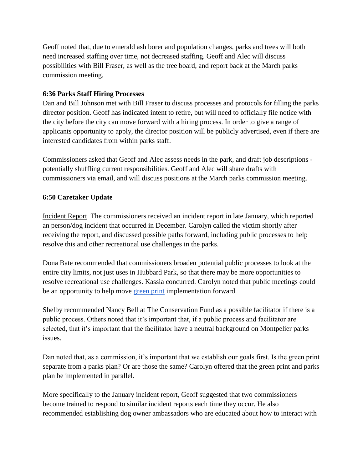Geoff noted that, due to emerald ash borer and population changes, parks and trees will both need increased staffing over time, not decreased staffing. Geoff and Alec will discuss possibilities with Bill Fraser, as well as the tree board, and report back at the March parks commission meeting.

#### **6:36 Parks Staff Hiring Processes**

Dan and Bill Johnson met with Bill Fraser to discuss processes and protocols for filling the parks director position. Geoff has indicated intent to retire, but will need to officially file notice with the city before the city can move forward with a hiring process. In order to give a range of applicants opportunity to apply, the director position will be publicly advertised, even if there are interested candidates from within parks staff.

Commissioners asked that Geoff and Alec assess needs in the park, and draft job descriptions potentially shuffling current responsibilities. Geoff and Alec will share drafts with commissioners via email, and will discuss positions at the March parks commission meeting.

### **6:50 Caretaker Update**

Incident Report The commissioners received an incident report in late January, which reported an person/dog incident that occurred in December. Carolyn called the victim shortly after receiving the report, and discussed possible paths forward, including public processes to help resolve this and other recreational use challenges in the parks.

Dona Bate recommended that commissioners broaden potential public processes to look at the entire city limits, not just uses in Hubbard Park, so that there may be more opportunities to resolve recreational use challenges. Kassia concurred. Carolyn noted that public meetings could be an opportunity to help move [green print](https://www.montpelier-vt.org/DocumentCenter/View/1167/Parks-Greenprint-Plan-PDF?bidId=) implementation forward.

Shelby recommended Nancy Bell at The Conservation Fund as a possible facilitator if there is a public process. Others noted that it's important that, if a public process and facilitator are selected, that it's important that the facilitator have a neutral background on Montpelier parks issues.

Dan noted that, as a commission, it's important that we establish our goals first. Is the green print separate from a parks plan? Or are those the same? Carolyn offered that the green print and parks plan be implemented in parallel.

More specifically to the January incident report, Geoff suggested that two commissioners become trained to respond to similar incident reports each time they occur. He also recommended establishing dog owner ambassadors who are educated about how to interact with